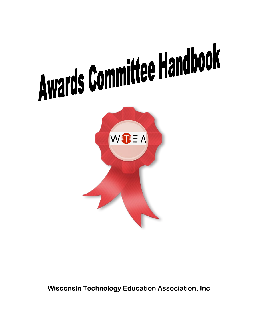



**Wisconsin Technology Education Association, Inc**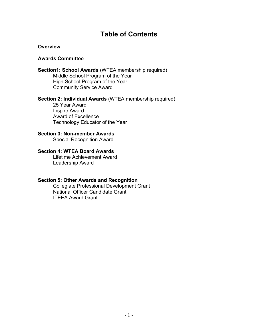# **Table of Contents**

## **Overview**

## **Awards Committee**

## **Section1: School Awards** (WTEA membership required) Middle School Program of the Year High School Program of the Year Community Service Award

## **Section 2: Individual Awards** (WTEA membership required)

25 Year Award Inspire Award Award of Excellence Technology Educator of the Year

## **Section 3: Non-member Awards**

Special Recognition Award

# **Section 4: WTEA Board Awards**

Lifetime Achievement Award Leadership Award

## **Section 5: Other Awards and Recognition**

Collegiate Professional Development Grant National Officer Candidate Grant ITEEA Award Grant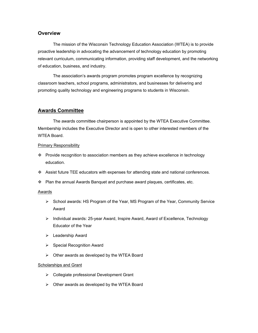## **Overview**

The mission of the Wisconsin Technology Education Association (WTEA) is to provide proactive leadership in advocating the advancement of technology education by promoting relevant curriculum, communicating information, providing staff development, and the networking of education, business, and industry.

The association's awards program promotes program excellence by recognizing classroom teachers, school programs, administrators, and businesses for delivering and promoting quality technology and engineering programs to students in Wisconsin.

## **Awards Committee**

The awards committee chairperson is appointed by the WTEA Executive Committee. Membership includes the Executive Director and is open to other interested members of the WTEA Board.

## Primary Responsibility

- Provide recognition to association members as they achieve excellence in technology education.
- Assist future TEE educators with expenses for attending state and national conferences.
- $\cdot \cdot$  Plan the annual Awards Banquet and purchase award plaques, certificates, etc.

### Awards

- $\triangleright$  School awards: HS Program of the Year, MS Program of the Year, Community Service Award
- $\triangleright$  Individual awards: 25-year Award, Inspire Award, Award of Excellence, Technology Educator of the Year
- > Leadership Award
- $\triangleright$  Special Recognition Award
- $\triangleright$  Other awards as developed by the WTEA Board

### Scholarships and Grant

- Collegiate professional Development Grant
- Other awards as developed by the WTEA Board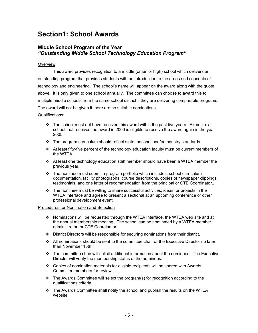# **Section1: School Awards**

## **Middle School Program of the Year** *"Outstanding Middle School Technology Education Program"*

## **Overview**

This award provides recognition to a middle (or junior high) school which delivers an outstanding program that provides students with an introduction to the areas and concepts of technology and engineering. The school's name will appear on the award along with the quote above. It is only given to one school annually. The committee can choose to award this to multiple middle schools from the same school district if they are delivering comparable programs. The award will not be given if there are no suitable nominations.

## Qualifications:

- $\div$  The school must not have received this award within the past five years. Example: a school that receives the award in 2000 is eligible to receive the award again in the year 2005.
- $\cdot \cdot$  The program curriculum should reflect state, national and/or industry standards.
- $\div$  At least fifty-five percent of the technology education faculty must be current members of the WTEA.
- $\cdot \cdot$  At least one technology education staff member should have been a WTEA member the previous year.
- The nominee must submit a program portfolio which includes: school curriculum documentation, facility photographs, course descriptions, copies of newspaper clippings, testimonials, and one letter of recommendation from the principal or CTE Coordinator..
- $\cdot \cdot$  The nominee must be willing to share successful activities, ideas, or projects in the WTEA Interface and agree to present a sectional at an upcoming conference or other professional development event.

- $\div$  Nominations will be requested through the WTEA Interface, the WTEA web site and at the annual membership meeting. The school can be nominated by a WTEA member, administrator, or CTE Coordinator.
- $\cdot \cdot$  District Directors will be responsible for securing nominations from their district.
- All nominations should be sent to the committee chair or the Executive Director no later than November 15th.
- The committee chair will solicit additional information about the nominees. The Executive Director will verify the membership status of the nominees.
- Copies of nomination materials for eligible recipients will be shared with Awards Committee members for review.
- \* The Awards Committee will select the program(s) for recognition according to the qualifications criteria
- $\div$  The Awards Committee shall notify the school and publish the results on the WTEA website.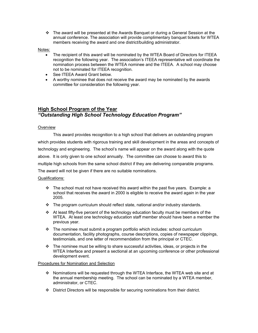$\div$  The award will be presented at the Awards Banquet or during a General Session at the annual conference. The association will provide complimentary banquet tickets for WTEA members receiving the award and one district/building administrator.

#### Notes:

- The recipient of this award will be nominated by the WTEA Board of Directors for ITEEA recognition the following year. The association's ITEEA representative will coordinate the nomination process between the WTEA nominee and the ITEEA. A school may choose not to be nominated for ITEEA recognition.
- See ITEEA Award Grant below.
- A worthy nominee that does not receive the award may be nominated by the awards committee for consideration the following year.

# **High School Program of the Year** *"Outstanding High School Technology Education Program"*

### **Overview**

This award provides recognition to a high school that delivers an outstanding program which provides students with rigorous training and skill development in the areas and concepts of technology and engineering. The school's name will appear on the award along with the quote above. It is only given to one school annually. The committee can choose to award this to multiple high schools from the same school district if they are delivering comparable programs. The award will not be given if there are no suitable nominations.

### Qualifications:

- $\div$  The school must not have received this award within the past five years. Example: a school that receives the award in 2000 is eligible to receive the award again in the year 2005.
- $\div$  The program curriculum should reflect state, national and/or industry standards.
- $\triangleleft$  At least fifty-five percent of the technology education faculty must be members of the WTEA. At least one technology education staff member should have been a member the previous year.
- $\cdot \cdot$  The nominee must submit a program portfolio which includes: school curriculum documentation, facility photographs, course descriptions, copies of newspaper clippings, testimonials, and one letter of recommendation from the principal or CTEC.
- \* The nominee must be willing to share successful activities, ideas, or projects in the WTEA Interface and present a sectional at an upcoming conference or other professional development event.

- $\div$  Nominations will be requested through the WTEA Interface, the WTEA web site and at the annual membership meeting. The school can be nominated by a WTEA member, administrator, or CTEC.
- District Directors will be responsible for securing nominations from their district.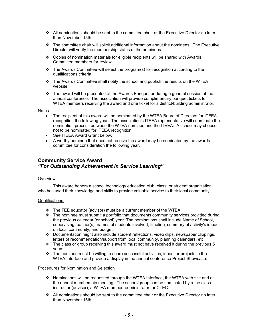- $\div$  All nominations should be sent to the committee chair or the Executive Director no later than November 15th.
- The committee chair will solicit additional information about the nominees. The Executive Director will verify the membership status of the nominees.
- $\div$  Copies of nomination materials for eligible recipients will be shared with Awards Committee members for review.
- \* The Awards Committee will select the program(s) for recognition according to the qualifications criteria
- $\div$  The Awards Committee shall notify the school and publish the results on the WTEA website.
- $\cdot \cdot$  The award will be presented at the Awards Banquet or during a general session at the annual conference. The association will provide complimentary banquet tickets for WTEA members receiving the award and one ticket for a district/building administrator.

Notes:

- The recipient of this award will be nominated by the WTEA Board of Directors for ITEEA recognition the following year. The association's ITEEA representative will coordinate the nomination process between the WTEA nominee and the ITEEA. A school may choose not to be nominated for ITEEA recognition.
- See ITEEA Award Grant below.
- A worthy nominee that does not receive the award may be nominated by the awards committee for consideration the following year.

# **Community Service Award** *"For Outstanding Achievement in Service Learning"*

### **Overview**

This award honors a school technology education club, class, or student organization who has used their knowledge and skills to provide valuable service to their local community.

### Qualifications:

- \* The TEE educator (advisor) must be a current member of the WTEA
- \* The nominee must submit a portfolio that documents community services provided during the previous calendar (or school) year. The nominations shall include Name of School, supervising teacher(s), names of students involved, timeline, summary of activity's impact on local community, and budget.
- $\bullet$  Documentation might also include student reflections, video clips, newspaper clippings, letters of recommendation/support from local community, planning calendars, etc.
- $\cdot \cdot$  The class or group receiving this award must not have received it during the previous 5 years.
- \* The nominee must be willing to share successful activities, ideas, or projects in the WTEA Interface and provide a display in the annual conference Project Showcase.

- Nominations will be requested through the WTEA Interface, the WTEA web site and at the annual membership meeting. The school/group can be nominated by a the class instructor (advisor), a WTEA member, administrator, or CTEC.
- All nominations should be sent to the committee chair or the Executive Director no later than November 15th.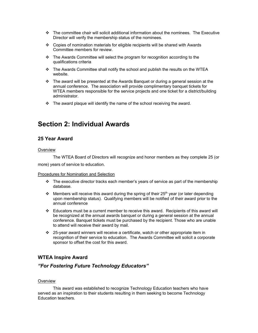- $\cdot \cdot$  The committee chair will solicit additional information about the nominees. The Executive Director will verify the membership status of the nominees.
- $\div$  Copies of nomination materials for eligible recipients will be shared with Awards Committee members for review.
- $\div$  The Awards Committee will select the program for recognition according to the qualifications criteria
- \* The Awards Committee shall notify the school and publish the results on the WTEA website.
- $\cdot \cdot$  The award will be presented at the Awards Banquet or during a general session at the annual conference. The association will provide complimentary banquet tickets for WTEA members responsible for the service projects and one ticket for a district/building administrator.
- $\cdot \cdot$  The award plaque will identify the name of the school receiving the award.

# **Section 2: Individual Awards**

## **25 Year Award**

#### **Overview**

The WTEA Board of Directors will recognize and honor members as they complete 25 (or more) years of service to education.

### Procedures for Nomination and Selection

- $\div$  The executive director tracks each member's years of service as part of the membership database.
- $\cdot \cdot$  Members will receive this award during the spring of their 25<sup>th</sup> year (or later depending upon membership status). Qualifying members will be notified of their award prior to the annual conference
- Educators must be a current member to receive this award. Recipients of this award will be recognized at the annual awards banquet or during a general session at the annual conference. Banquet tickets must be purchased by the recipient. Those who are unable to attend will receive their award by mail.
- $\cdot$  25-year award winners will receive a certificate, watch or other appropriate item in recognition of their service to education. The Awards Committee will solicit a corporate sponsor to offset the cost for this award.

## **WTEA Inspire Award**

## *"For Fostering Future Technology Educators"*

### **Overview**

This award was established to recognize Technology Education teachers who have served as an inspiration to their students resulting in them seeking to become Technology Education teachers.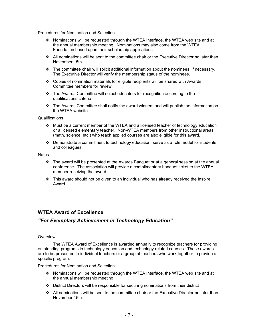#### Procedures for Nomination and Selection

- $\div$  Nominations will be requested through the WTEA Interface, the WTEA web site and at the annual membership meeting. Nominations may also come from the WTEA Foundation based upon their scholarship applications.
- $\cdot$  All nominations will be sent to the committee chair or the Executive Director no later than November 15th.
- $\cdot \cdot$  The committee chair will solicit additional information about the nominees, if necessary. The Executive Director will verify the membership status of the nominees.
- Copies of nomination materials for eligible recipients will be shared with Awards Committee members for review.
- The Awards Committee will select educators for recognition according to the qualifications criteria.
- $\cdot \cdot$  The Awards Committee shall notify the award winners and will publish the information on the WTEA website.

#### **Qualifications**

- $\div$  Must be a current member of the WTEA and a licensed teacher of technology education or a licensed elementary teacher. Non-WTEA members from other instructional areas (math, science, etc.) who teach applied courses are also eligible for this award.
- $\cdot \cdot$  Demonstrate a commitment to technology education, serve as a role model for students and colleagues

#### Notes:

- $\cdot \cdot$  The award will be presented at the Awards Banquet or at a general session at the annual conference. The association will provide a complimentary banquet ticket to the WTEA member receiving the award.
- $\div$  This award should not be given to an individual who has already received the Inspire Award.

## **WTEA Award of Excellence**

## *"For Exemplary Achievement in Technology Education"*

#### **Overview**

The WTEA Award of Excellence is awarded annually to recognize teachers for providing outstanding programs in technology education and technology related courses. These awards are to be presented to individual teachers or a group of teachers who work together to provide a specific program.

- $\div$  Nominations will be requested through the WTEA Interface, the WTEA web site and at the annual membership meeting.
- District Directors will be responsible for securing nominations from their district
- All nominations will be sent to the committee chair or the Executive Director no later than November 15th.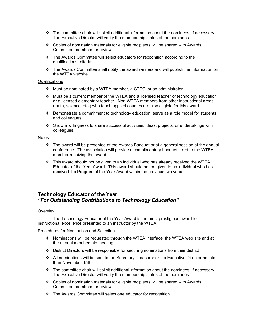- $\div$  The committee chair will solicit additional information about the nominees, if necessary. The Executive Director will verify the membership status of the nominees.
- $\div$  Copies of nomination materials for eligible recipients will be shared with Awards Committee members for review.
- The Awards Committee will select educators for recognition according to the qualifications criteria.
- \* The Awards Committee shall notify the award winners and will publish the information on the WTEA website.

#### **Qualifications**

- Must be nominated by a WTEA member, a CTEC, or an administrator
- $\cdot$  Must be a current member of the WTEA and a licensed teacher of technology education or a licensed elementary teacher. Non-WTEA members from other instructional areas (math, science, etc.) who teach applied courses are also eligible for this award.
- $\div$  Demonstrate a commitment to technology education, serve as a role model for students and colleagues
- $\div$  Show a willingness to share successful activities, ideas, projects, or undertakings with colleagues.

Notes:

- $\div$  The award will be presented at the Awards Banquet or at a general session at the annual conference. The association will provide a complimentary banquet ticket to the WTEA member receiving the award.
- $\div$  This award should not be given to an individual who has already received the WTEA Educator of the Year Award. This award should not be given to an individual who has received the Program of the Year Award within the previous two years.

## **Technology Educator of the Year** *"For Outstanding Contributions to Technology Education"*

#### **Overview**

The Technology Educator of the Year Award is the most prestigious award for instructional excellence presented to an instructor by the WTEA.

- Nominations will be requested through the WTEA Interface, the WTEA web site and at the annual membership meeting.
- District Directors will be responsible for securing nominations from their district
- All nominations will be sent to the Secretary-Treasurer or the Executive Director no later than November 15th.
- $\cdot \cdot$  The committee chair will solicit additional information about the nominees, if necessary. The Executive Director will verify the membership status of the nominees.
- Copies of nomination materials for eligible recipients will be shared with Awards Committee members for review.
- The Awards Committee will select one educator for recognition.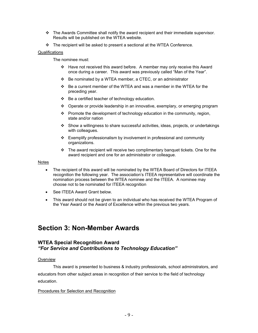- $\div$  The Awards Committee shall notify the award recipient and their immediate supervisor. Results will be published on the WTEA website.
- $\div$  The recipient will be asked to present a sectional at the WTEA Conference.

## Qualifications

The nominee must:

- Have not received this award before. A member may only receive this Award once during a career. This award was previously called "Man of the Year".
- $\div$  Be nominated by a WTEA member, a CTEC, or an administrator
- $\div$  Be a current member of the WTEA and was a member in the WTEA for the preceding year.
- $\div$  Be a certified teacher of technology education.
- Operate or provide leadership in an innovative, exemplary, or emerging program
- $\div$  Promote the development of technology education in the community, region, state and/or nation
- $\div$  Show a willingness to share successful activities, ideas, projects, or undertakings with colleagues.
- $\div$  Exemplify professionalism by involvement in professional and community organizations.
- \* The award recipient will receive two complimentary banquet tickets. One for the award recipient and one for an administrator or colleague.

## Notes

- The recipient of this award will be nominated by the WTEA Board of Directors for ITEEA recognition the following year. The association's ITEEA representative will coordinate the nomination process between the WTEA nominee and the ITEEA. A nominee may choose not to be nominated for ITEEA recognition
- See ITEEA Award Grant below.
- This award should not be given to an individual who has received the WTEA Program of the Year Award or the Award of Excellence within the previous two years.

# **Section 3: Non-Member Awards**

## **WTEA Special Recognition Award** *"For Service and Contributions to Technology Education"*

## **Overview**

This award is presented to business & industry professionals, school administrators, and educators from other subject areas in recognition of their service to the field of technology education.

## Procedures for Selection and Recognition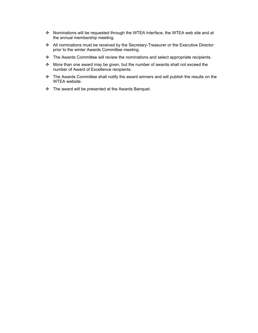- \* Nominations will be requested through the WTEA Interface, the WTEA web site and at the annual membership meeting.
- All nominations must be received by the Secretary-Treasurer or the Executive Director prior to the winter Awards Committee meeting.
- \* The Awards Committee will review the nominations and select appropriate recipients.
- \* More than one award may be given, but the number of awards shall not exceed the number of Award of Excellence recipients.
- \* The Awards Committee shall notify the award winners and will publish the results on the WTEA website.
- \* The award will be presented at the Awards Banquet.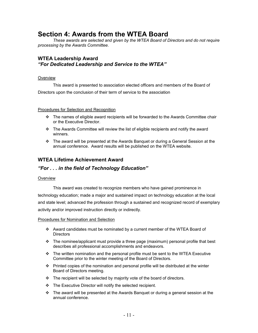# **Section 4: Awards from the WTEA Board**

*These awards are selected and given by the WTEA Board of Directors and do not require processing by the Awards Committee.*

## **WTEA Leadership Award** *"For Dedicated Leadership and Service to the WTEA"*

### **Overview**

This award is presented to association elected officers and members of the Board of Directors upon the conclusion of their term of service to the association

## Procedures for Selection and Recognition

- $\div$  The names of eligible award recipients will be forwarded to the Awards Committee chair or the Executive Director.
- $\cdot \cdot$  The Awards Committee will review the list of eligible recipients and notify the award winners.
- The award will be presented at the Awards Banquet or during a General Session at the annual conference. Award results will be published on the WTEA website.

## **WTEA Lifetime Achievement Award**

## *"For . . . in the field of Technology Education"*

### **Overview**

This award was created to recognize members who have gained prominence in technology education; made a major and sustained impact on technology education at the local and state level; advanced the profession through a sustained and recognized record of exemplary activity and/or improved instruction directly or indirectly.

- $\div$  Award candidates must be nominated by a current member of the WTEA Board of **Directors**
- $\div$  The nominee/applicant must provide a three page (maximum) personal profile that best describes all professional accomplishments and endeavors.
- \* The written nomination and the personal profile must be sent to the WTEA Executive Committee prior to the winter meeting of the Board of Directors.
- Printed copies of the nomination and personal profile will be distributed at the winter Board of Directors meeting.
- $\cdot \cdot$  The recipient will be selected by majority vote of the board of directors.
- $\div$  The Executive Director will notify the selected recipient.
- $\cdot \cdot$  The award will be presented at the Awards Banquet or during a general session at the annual conference.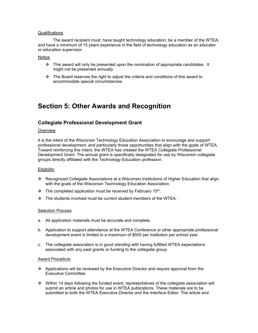#### Qualifications

The award recipient must: have taught technology education; be a member of the WTEA; and have a minimum of 15 years experience in the field of technology education as an educator or education supervisor.

#### **Notice**

- $\div$  This award will only be presented upon the nomination of appropriate candidates. It might not be presented annually.
- $\cdot \cdot$  The Board reserves the right to adjust the criteria and conditions of this award to accommodate special circumstances.

# **Section 5: Other Awards and Recognition**

## **Collegiate Professional Development Grant**

#### **Overview**

It is the intent of the Wisconsin Technology Education Association to encourage and support professional development, and particularly those opportunities that align with the goals of WTEA. Toward reinforcing this intent, the WTEA has created the WTEA Collegiate Professional Development Grant. The annual grant is specifically designated for use by Wisconsin collegiate groups directly affiliated with the Technology Education profession.

#### **Eligibility**

- Recognized Collegiate Associations at a Wisconsin Institutions of Higher Education that align with the goals of the Wisconsin Technology Education Association.
- $\cdot \cdot$  The completed application must be received by February 15<sup>th</sup>.
- $\div$  The students involved must be current student members of the WTEA.

#### Selection Process

- a. All application materials must be accurate and complete.
- b. Application to support attendance at the WTEA Conference or other appropriate professional development event is limited to a maximum of \$500 per institution per school year.
- c. The collegiate association is in *good standing* with having fulfilled WTEA expectations associated with any past grants or funding to the collegiate group.

#### Award Procedure

- $\div$  Applications will be reviewed by the Executive Director and require approval from the Executive Committee.
- $\cdot$  Within 14 days following the funded event, representatives of the collegiate association will submit an article and photos for use in WTEA publications. These materials are to be submitted to both the WTEA Executive Director and the *Interface* Editor. The article and